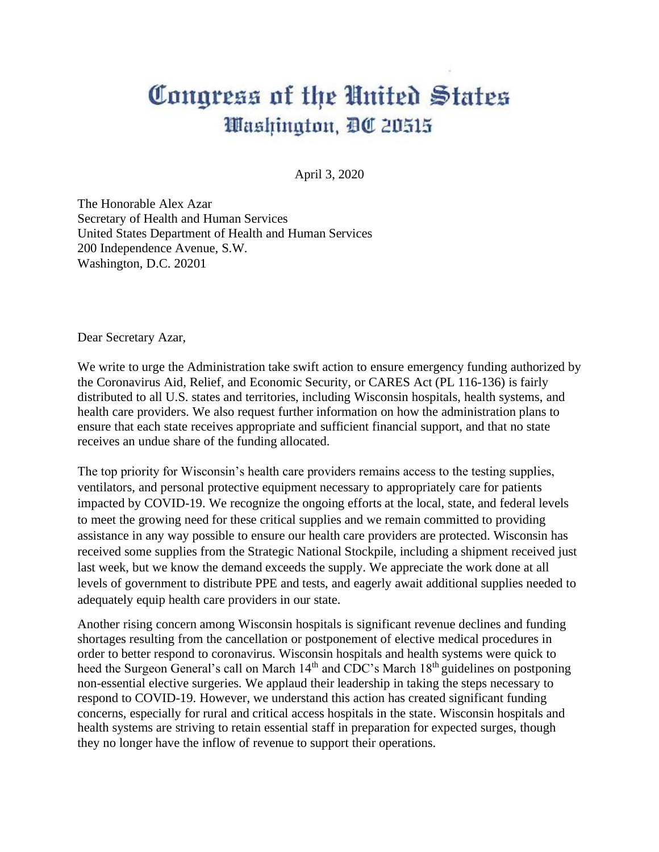## Congress of the United States Washington, DC 20515

April 3, 2020

The Honorable Alex Azar Secretary of Health and Human Services United States Department of Health and Human Services 200 Independence Avenue, S.W. Washington, D.C. 20201

Dear Secretary Azar,

We write to urge the Administration take swift action to ensure emergency funding authorized by the Coronavirus Aid, Relief, and Economic Security, or CARES Act (PL 116-136) is fairly distributed to all U.S. states and territories, including Wisconsin hospitals, health systems, and health care providers. We also request further information on how the administration plans to ensure that each state receives appropriate and sufficient financial support, and that no state receives an undue share of the funding allocated.

The top priority for Wisconsin's health care providers remains access to the testing supplies, ventilators, and personal protective equipment necessary to appropriately care for patients impacted by COVID-19. We recognize the ongoing efforts at the local, state, and federal levels to meet the growing need for these critical supplies and we remain committed to providing assistance in any way possible to ensure our health care providers are protected. Wisconsin has received some supplies from the Strategic National Stockpile, including a shipment received just last week, but we know the demand exceeds the supply. We appreciate the work done at all levels of government to distribute PPE and tests, and eagerly await additional supplies needed to adequately equip health care providers in our state.

Another rising concern among Wisconsin hospitals is significant revenue declines and funding shortages resulting from the cancellation or postponement of elective medical procedures in order to better respond to coronavirus. Wisconsin hospitals and health systems were quick to heed the Surgeon General's call on March  $14<sup>th</sup>$  and CDC's March  $18<sup>th</sup>$  guidelines on postponing non-essential elective surgeries. We applaud their leadership in taking the steps necessary to respond to COVID-19. However, we understand this action has created significant funding concerns, especially for rural and critical access hospitals in the state. Wisconsin hospitals and health systems are striving to retain essential staff in preparation for expected surges, though they no longer have the inflow of revenue to support their operations.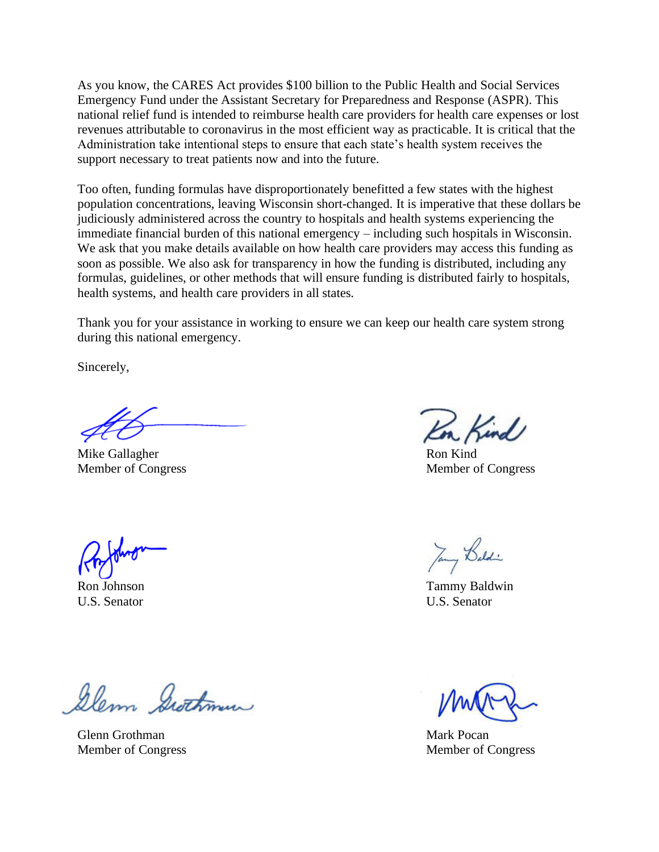As you know, the CARES Act provides \$100 billion to the Public Health and Social Services Emergency Fund under the Assistant Secretary for Preparedness and Response (ASPR). This national relief fund is intended to reimburse health care providers for health care expenses or lost revenues attributable to coronavirus in the most efficient way as practicable. It is critical that the Administration take intentional steps to ensure that each state's health system receives the support necessary to treat patients now and into the future.

Too often, funding formulas have disproportionately benefitted a few states with the highest population concentrations, leaving Wisconsin short-changed. It is imperative that these dollars be judiciously administered across the country to hospitals and health systems experiencing the immediate financial burden of this national emergency – including such hospitals in Wisconsin. We ask that you make details available on how health care providers may access this funding as soon as possible. We also ask for transparency in how the funding is distributed, including any formulas, guidelines, or other methods that will ensure funding is distributed fairly to hospitals, health systems, and health care providers in all states.

Thank you for your assistance in working to ensure we can keep our health care system strong during this national emergency.

Sincerely,

Mike Gallagher Ron Kind

Kind

Member of Congress Member of Congress

Jany Baldi

Ron Johnson Tammy Baldwin U.S. Senator U.S. Senator

Member of Congress Member of Congress

Glenn Grothman

Glenn Grothman Mark Pocan Mark Pocan